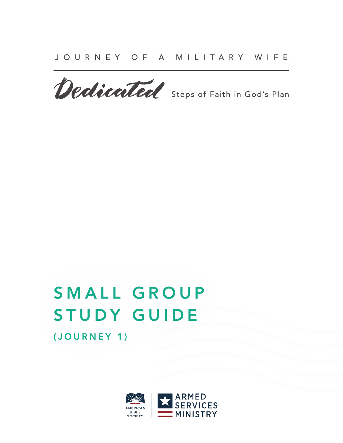Dedicated Steps of Faith in God's Plan

# SMALL GROUP STUDY GUIDE (JOURNEY 1)

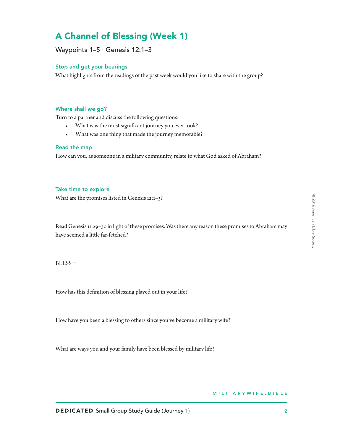# A Channel of Blessing (Week 1)

Waypoints  $1-5 \cdot$  Genesis 12:1-3

### Stop and get your bearings

What highlights from the readings of the past week would you like to share with the group?

#### Where shall we go?

Turn to a partner and discuss the following questions:

- What was the most significant journey you ever took?
- What was one thing that made the journey memorable?

#### Read the map

How can you, as someone in a military community, relate to what God asked of Abraham?

# Take time to explore

What are the promises listed in Genesis 12:1–3?

Read Genesis 11:29–30 in light of these promises. Was there any reason these promises to Abraham may have seemed a little far-fetched?

 $BLESS =$ 

How has this definition of blessing played out in your life?

How have you been a blessing to others since you've become a military wife?

What are ways you and your family have been blessed by military life?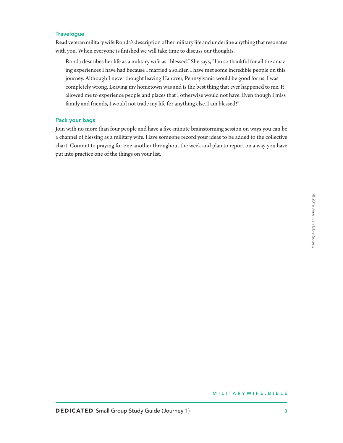Read veteran military wife Ronda's description of her military life and underline anything that resonates with you. When everyone is finished we will take time to discuss our thoughts.

Ronda describes her life as a military wife as "blessed." She says, "I'm so thankful for all the amazing experiences I have had because I married a soldier. I have met some incredible people on this journey. Although I never thought leaving Hanover, Pennsylvania would be good for us, I was completely wrong. Leaving my hometown was and is the best thing that ever happened to me. It allowed me to experience people and places that I otherwise would not have. Even though I miss family and friends, I would not trade my life for anything else. I am blessed!"

#### Pack your bags

Join with no more than four people and have a five-minute brainstorming session on ways you can be a channel of blessing as a military wife. Have someone record your ideas to be added to the collective chart. Commit to praying for one another throughout the week and plan to report on a way you have put into practice one of the things on your list.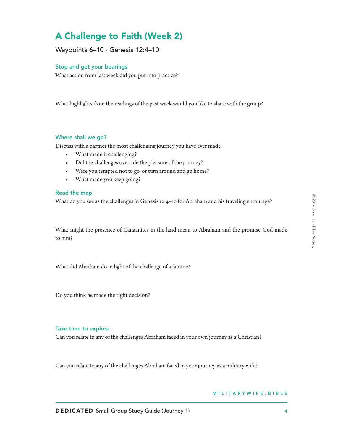# A Challenge to Faith (Week 2)

Waypoints  $6-10 \cdot$  Genesis 12:4-10

#### Stop and get your bearings

What action from last week did you put into practice?

What highlights from the readings of the past week would you like to share with the group?

### Where shall we go?

Discuss with a partner the most challenging journey you have ever made.

- What made it challenging?
- Did the challenges override the pleasure of the journey?
- Were you tempted not to go, or turn around and go home?
- What made you keep going?

### Read the map

What do you see as the challenges in Genesis 12:4–10 for Abraham and his traveling entourage?

What might the presence of Canaanites in the land mean to Abraham and the promise God made to him?

What did Abraham do in light of the challenge of a famine?

Do you think he made the right decision?

#### Take time to explore

Can you relate to any of the challenges Abraham faced in your own journey as a Christian?

Can you relate to any of the challenges Abraham faced in your journey as a military wife?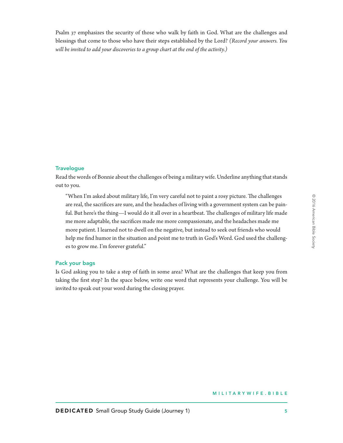Psalm 37 emphasizes the security of those who walk by faith in God. What are the challenges and blessings that come to those who have their steps established by the Lord? *(Record your answers. You will be invited to add your discoveries to a group chart at the end of the activity.)*

#### **Travelogue**

Read the words of Bonnie about the challenges of being a military wife. Underline anything that stands out to you.

"When I'm asked about military life, I'm very careful not to paint a rosy picture. The challenges are real, the sacrifices are sure, and the headaches of living with a government system can be painful. But here's the thing—I would do it all over in a heartbeat. The challenges of military life made me more adaptable, the sacrifices made me more compassionate, and the headaches made me more patient. I learned not to dwell on the negative, but instead to seek out friends who would help me find humor in the situation and point me to truth in God's Word. God used the challenges to grow me. I'm forever grateful."

#### Pack your bags

Is God asking you to take a step of faith in some area? What are the challenges that keep you from taking the first step? In the space below, write one word that represents your challenge. You will be invited to speak out your word during the closing prayer.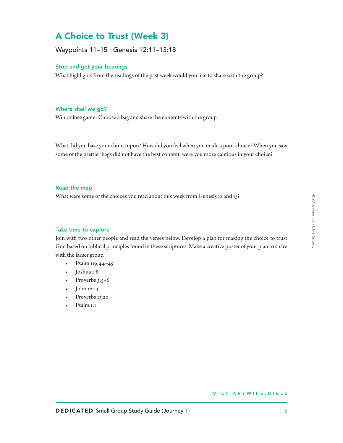# A Choice to Trust (Week 3)

Waypoints  $11-15 \cdot$  Genesis 12:11-13:18

#### Stop and get your bearings

What highlights from the readings of the past week would you like to share with the group?

#### Where shall we go?

Win or lose game: Choose a bag and share the contents with the group.

What did you base your choice upon? How did you feel when you made a poor choice? When you saw some of the prettier bags did not have the best content, were you more cautious in your choice?

## Read the map

What were some of the choices you read about this week from Genesis 12 and 13?

### Take time to explore

Join with two other people and read the verses below. Develop a plan for making the choice to trust God based on biblical principles found in these scriptures. Make a creative poster of your plan to share with the larger group.

- Psalm 119:44–45
- Joshua 1:8
- Proverbs 3:5-6
- John 16:13
- Proverbs 13:20
- Psalm 1:1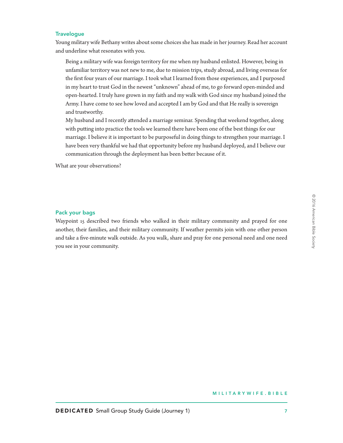Young military wife Bethany writes about some choices she has made in her journey. Read her account and underline what resonates with you.

Being a military wife was foreign territory for me when my husband enlisted. However, being in unfamiliar territory was not new to me, due to mission trips, study abroad, and living overseas for the first four years of our marriage. I took what I learned from those experiences, and I purposed in my heart to trust God in the newest "unknown" ahead of me, to go forward open-minded and open-hearted. I truly have grown in my faith and my walk with God since my husband joined the Army. I have come to see how loved and accepted I am by God and that He really is sovereign and trustworthy.

My husband and I recently attended a marriage seminar. Spending that weekend together, along with putting into practice the tools we learned there have been one of the best things for our marriage. I believe it is important to be purposeful in doing things to strengthen your marriage. I have been very thankful we had that opportunity before my husband deployed, and I believe our communication through the deployment has been better because of it.

What are your observations?

## Pack your bags

Waypoint 15 described two friends who walked in their military community and prayed for one another, their families, and their military community. If weather permits join with one other person and take a five-minute walk outside. As you walk, share and pray for one personal need and one need you see in your community.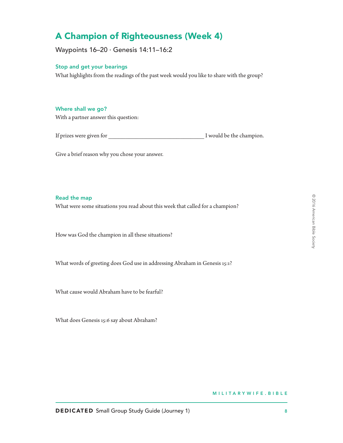# A Champion of Righteousness (Week 4)

Waypoints  $16-20 \cdot$  Genesis  $14:11-16:2$ 

#### Stop and get your bearings

What highlights from the readings of the past week would you like to share with the group?

# Where shall we go?

With a partner answer this question:

If prizes were given for \_\_\_\_\_\_\_\_\_\_\_\_\_\_\_\_\_\_\_\_\_\_\_\_\_\_\_\_ I would be the champion.

Give a brief reason why you chose your answer.

#### Read the map

What were some situations you read about this week that called for a champion?

How was God the champion in all these situations?

What words of greeting does God use in addressing Abraham in Genesis 15:1?

What cause would Abraham have to be fearful?

What does Genesis 15:6 say about Abraham?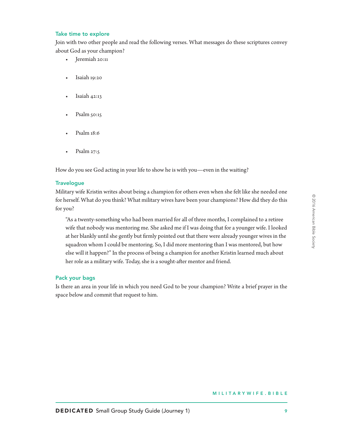#### Take time to explore

Join with two other people and read the following verses. What messages do these scriptures convey about God as your champion?

- Jeremiah 20:11
- Isaiah 19:20
- Isaiah 42:13
- Psalm 50:15
- Psalm 18:6
- Psalm 27:5

How do you see God acting in your life to show he is with you—even in the waiting?

#### **Travelogue**

Military wife Kristin writes about being a champion for others even when she felt like she needed one for herself. What do you think? What military wives have been your champions? How did they do this for you?

"As a twenty-something who had been married for all of three months, I complained to a retiree wife that nobody was mentoring me. She asked me if I was doing that for a younger wife. I looked at her blankly until she gently but firmly pointed out that there were already younger wives in the squadron whom I could be mentoring. So, I did more mentoring than I was mentored, but how else will it happen?" In the process of being a champion for another Kristin learned much about her role as a military wife. Today, she is a sought-after mentor and friend.

#### Pack your bags

Is there an area in your life in which you need God to be your champion? Write a brief prayer in the space below and commit that request to him.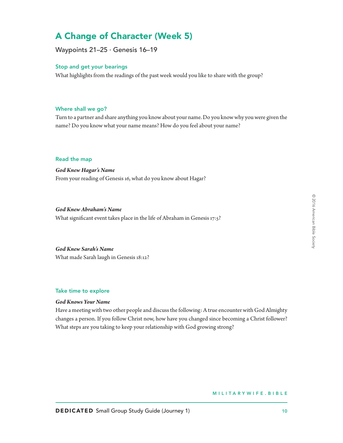# A Change of Character (Week 5)

Waypoints 21-25 · Genesis 16-19

#### Stop and get your bearings

What highlights from the readings of the past week would you like to share with the group?

#### Where shall we go?

Turn to a partner and share anything you know about your name. Do you know why you were given the name? Do you know what your name means? How do you feel about your name?

#### Read the map

*God Knew Hagar's Name* From your reading of Genesis 16, what do you know about Hagar?

*God Knew Abraham's Name* What significant event takes place in the life of Abraham in Genesis 17:5?

# *God Knew Sarah's Name*

What made Sarah laugh in Genesis 18:12?

#### Take time to explore

#### *God Knows Your Name*

Have a meeting with two other people and discuss the following: A true encounter with God Almighty changes a person. If you follow Christ now, how have you changed since becoming a Christ follower? What steps are you taking to keep your relationship with God growing strong?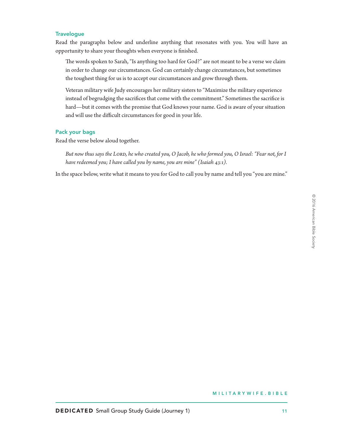Read the paragraphs below and underline anything that resonates with you. You will have an opportunity to share your thoughts when everyone is finished.

The words spoken to Sarah, "Is anything too hard for God?" are not meant to be a verse we claim in order to change our circumstances. God can certainly change circumstances, but sometimes the toughest thing for us is to accept our circumstances and grow through them.

Veteran military wife Judy encourages her military sisters to "Maximize the military experience instead of begrudging the sacrifices that come with the commitment." Sometimes the sacrifice is hard—but it comes with the promise that God knows your name. God is aware of your situation and will use the difficult circumstances for good in your life.

#### Pack your bags

Read the verse below aloud together.

*But now thus says the LORD, he who created you, O Jacob, he who formed you, O Israel: "Fear not, for I have redeemed you; I have called you by name, you are mine" (Isaiah 43:1).*

In the space below, write what it means to you for God to call you by name and tell you "you are mine."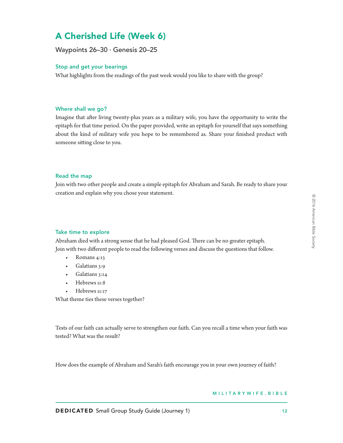# A Cherished Life (Week 6)

# Waypoints  $26-30 \cdot$  Genesis 20-25

#### Stop and get your bearings

What highlights from the readings of the past week would you like to share with the group?

#### Where shall we go?

Imagine that after living twenty-plus years as a military wife, you have the opportunity to write the epitaph for that time period. On the paper provided, write an epitaph for yourself that says something about the kind of military wife you hope to be remembered as. Share your finished product with someone sitting close to you.

#### Read the map

Join with two other people and create a simple epitaph for Abraham and Sarah. Be ready to share your creation and explain why you chose your statement.

#### Take time to explore

Abraham died with a strong sense that he had pleased God. There can be no greater epitaph. Join with two different people to read the following verses and discuss the questions that follow.

- Romans 4:13
- Galatians 3:9
- Galatians 3:14
- Hebrews 11:8
- Hebrews 11:17

What theme ties these verses together?

Tests of our faith can actually serve to strengthen our faith. Can you recall a time when your faith was tested? What was the result?

How does the example of Abraham and Sarah's faith encourage you in your own journey of faith?